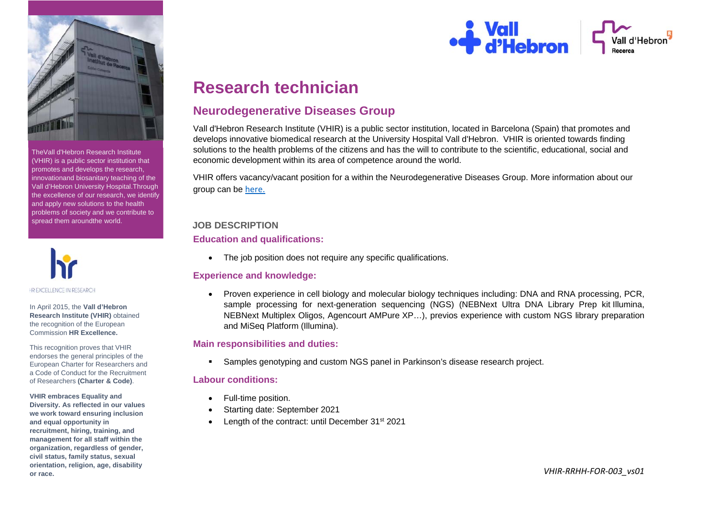

TheVall d'Hebron Research Institute (VHIR) is a public sector institution that promotes and develops the research, innovation and biosanitary teaching of the Vall d'Hebron University Hospital. Through the excellence of our research, we identify and apply new solutions to the health problems of society and we contribute to spread them around the world.



In April 2015, the **Vall d'Hebron Research Institute (VHIR)** obtained the recognition of the European Commission **HR Excellence.**

This recognition proves that VHIR endorses the general principles of the European Charter for Researchers and a Code of Conduct for the Recruitment of Researchers **(Charter & Code)**.

**VHIR embraces Equality and Diversity. As reflected in our values we work toward ensuring inclusion and equal opportunity in recruitment, hiring, training, and management for all staff within the organization, regardless of gender, civil status, family status, sexual orientation, religion, age, disability or race.**



# **Research technician**

# **Neurodegenerative Diseases Group**

Vall d'Hebron Research Institute (VHIR) is a public sector institution, located in Barcelona (Spain) that promotes and develops innovative biomedical research at the University Hospital Vall d'Hebron. VHIR is oriented towards finding solutions to the health problems of the citizens and has the will to contribute to the scientific, educational, social and economic development within its area of competence around the world.

VHIR offers vacancy/vacant position for a within the Neurodegenerative Diseases Group. More information about our group can be here.

#### **JOB DESCRIPTION**

#### **Education and qualifications:**

• The job position does not require any specific qualifications.

## **Experience and knowledge:**

 Proven experience in cell biology and molecular biology techniques including: DNA and RNA processing, PCR, sample processing for next-generation sequencing (NGS) (NEBNext Ultra DNA Library Prep kit Illumina, NEBNext Multiplex Oligos, Agencourt AMPure XP…), previos experience with custom NGS library preparation and MiSeq Platform (Illumina).

#### **Main responsibilities and duties:**

Samples genotyping and custom NGS panel in Parkinson's disease research project.

## **Labour conditions:**

- Full-time position.
- Starting date: September 2021
- Length of the contract: until December 31<sup>st</sup> 2021